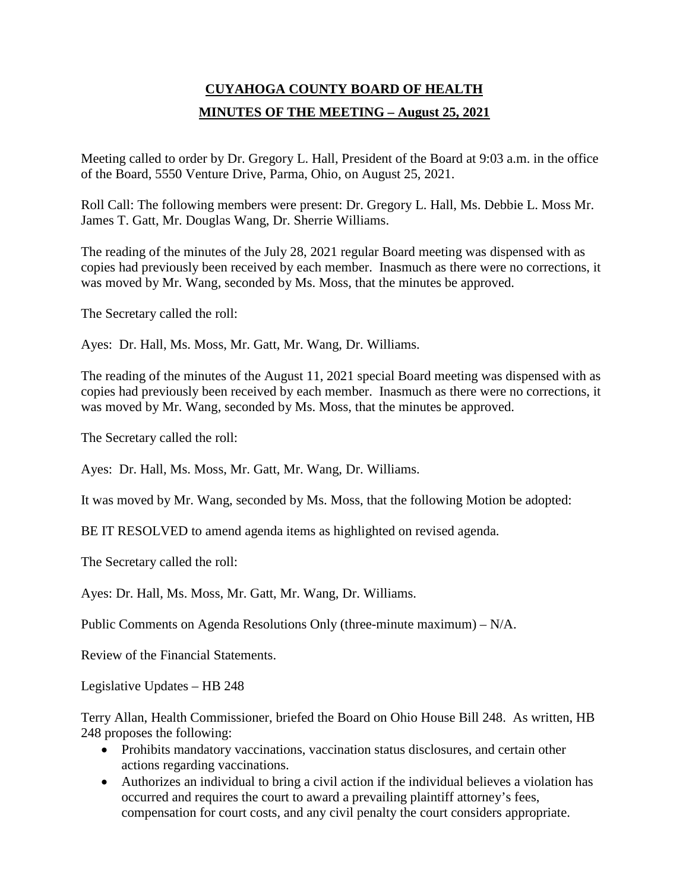# **CUYAHOGA COUNTY BOARD OF HEALTH MINUTES OF THE MEETING – August 25, 2021**

Meeting called to order by Dr. Gregory L. Hall, President of the Board at 9:03 a.m. in the office of the Board, 5550 Venture Drive, Parma, Ohio, on August 25, 2021.

Roll Call: The following members were present: Dr. Gregory L. Hall, Ms. Debbie L. Moss Mr. James T. Gatt, Mr. Douglas Wang, Dr. Sherrie Williams.

The reading of the minutes of the July 28, 2021 regular Board meeting was dispensed with as copies had previously been received by each member. Inasmuch as there were no corrections, it was moved by Mr. Wang, seconded by Ms. Moss, that the minutes be approved.

The Secretary called the roll:

Ayes: Dr. Hall, Ms. Moss, Mr. Gatt, Mr. Wang, Dr. Williams.

The reading of the minutes of the August 11, 2021 special Board meeting was dispensed with as copies had previously been received by each member. Inasmuch as there were no corrections, it was moved by Mr. Wang, seconded by Ms. Moss, that the minutes be approved.

The Secretary called the roll:

Ayes: Dr. Hall, Ms. Moss, Mr. Gatt, Mr. Wang, Dr. Williams.

It was moved by Mr. Wang, seconded by Ms. Moss, that the following Motion be adopted:

BE IT RESOLVED to amend agenda items as highlighted on revised agenda.

The Secretary called the roll:

Ayes: Dr. Hall, Ms. Moss, Mr. Gatt, Mr. Wang, Dr. Williams.

Public Comments on Agenda Resolutions Only (three-minute maximum) – N/A.

Review of the Financial Statements.

Legislative Updates – HB 248

Terry Allan, Health Commissioner, briefed the Board on Ohio House Bill 248. As written, HB 248 proposes the following:

- Prohibits mandatory vaccinations, vaccination status disclosures, and certain other actions regarding vaccinations.
- Authorizes an individual to bring a civil action if the individual believes a violation has occurred and requires the court to award a prevailing plaintiff attorney's fees, compensation for court costs, and any civil penalty the court considers appropriate.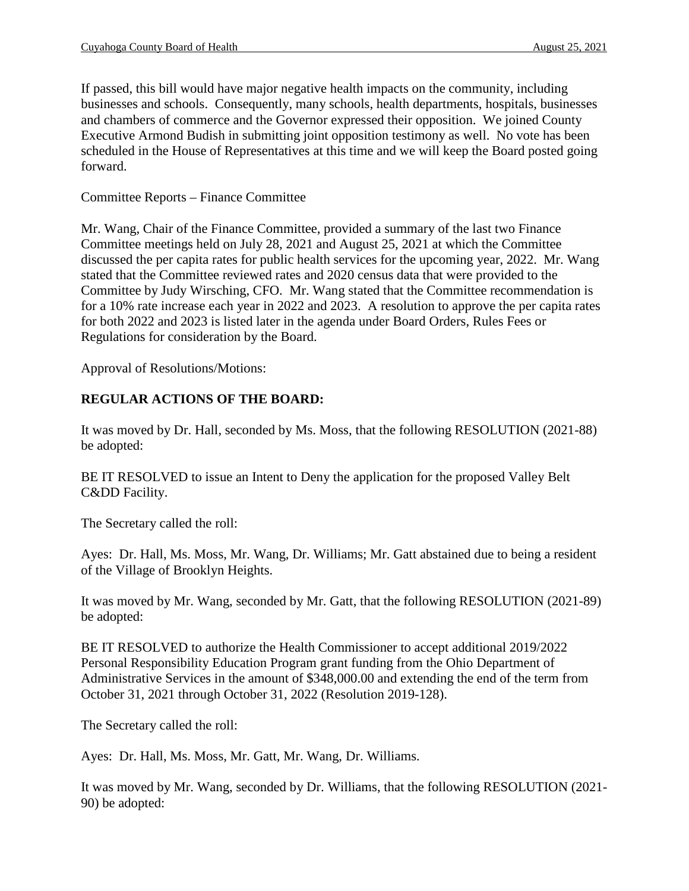If passed, this bill would have major negative health impacts on the community, including businesses and schools. Consequently, many schools, health departments, hospitals, businesses and chambers of commerce and the Governor expressed their opposition. We joined County Executive Armond Budish in submitting joint opposition testimony as well. No vote has been scheduled in the House of Representatives at this time and we will keep the Board posted going forward.

## Committee Reports – Finance Committee

Mr. Wang, Chair of the Finance Committee, provided a summary of the last two Finance Committee meetings held on July 28, 2021 and August 25, 2021 at which the Committee discussed the per capita rates for public health services for the upcoming year, 2022. Mr. Wang stated that the Committee reviewed rates and 2020 census data that were provided to the Committee by Judy Wirsching, CFO. Mr. Wang stated that the Committee recommendation is for a 10% rate increase each year in 2022 and 2023. A resolution to approve the per capita rates for both 2022 and 2023 is listed later in the agenda under Board Orders, Rules Fees or Regulations for consideration by the Board.

Approval of Resolutions/Motions:

# **REGULAR ACTIONS OF THE BOARD:**

It was moved by Dr. Hall, seconded by Ms. Moss, that the following RESOLUTION (2021-88) be adopted:

BE IT RESOLVED to issue an Intent to Deny the application for the proposed Valley Belt C&DD Facility.

The Secretary called the roll:

Ayes: Dr. Hall, Ms. Moss, Mr. Wang, Dr. Williams; Mr. Gatt abstained due to being a resident of the Village of Brooklyn Heights.

It was moved by Mr. Wang, seconded by Mr. Gatt, that the following RESOLUTION (2021-89) be adopted:

BE IT RESOLVED to authorize the Health Commissioner to accept additional 2019/2022 Personal Responsibility Education Program grant funding from the Ohio Department of Administrative Services in the amount of \$348,000.00 and extending the end of the term from October 31, 2021 through October 31, 2022 (Resolution 2019-128).

The Secretary called the roll:

Ayes: Dr. Hall, Ms. Moss, Mr. Gatt, Mr. Wang, Dr. Williams.

It was moved by Mr. Wang, seconded by Dr. Williams, that the following RESOLUTION (2021- 90) be adopted: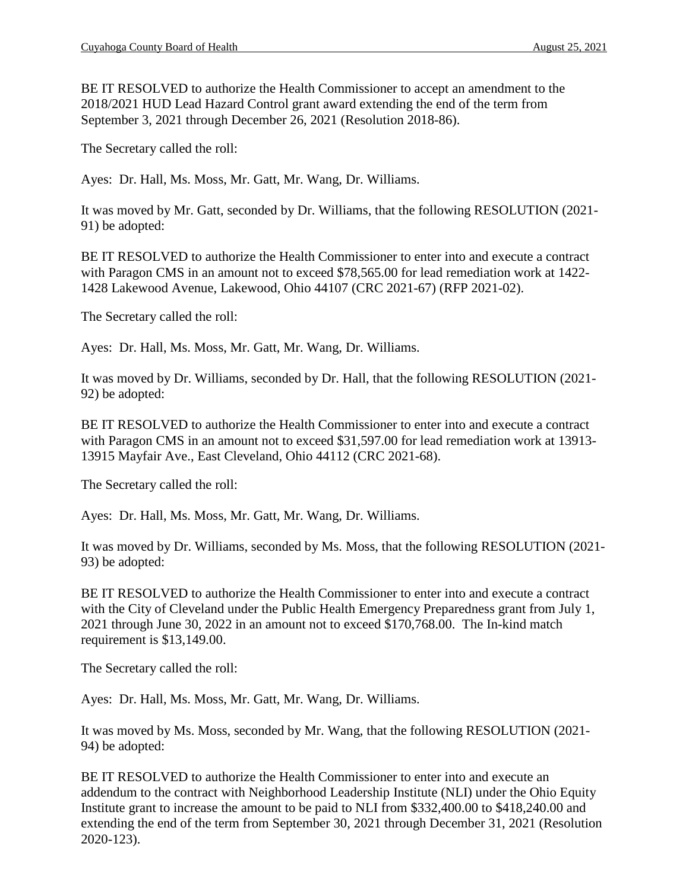BE IT RESOLVED to authorize the Health Commissioner to accept an amendment to the 2018/2021 HUD Lead Hazard Control grant award extending the end of the term from September 3, 2021 through December 26, 2021 (Resolution 2018-86).

The Secretary called the roll:

Ayes: Dr. Hall, Ms. Moss, Mr. Gatt, Mr. Wang, Dr. Williams.

It was moved by Mr. Gatt, seconded by Dr. Williams, that the following RESOLUTION (2021- 91) be adopted:

BE IT RESOLVED to authorize the Health Commissioner to enter into and execute a contract with Paragon CMS in an amount not to exceed \$78,565.00 for lead remediation work at 1422- 1428 Lakewood Avenue, Lakewood, Ohio 44107 (CRC 2021-67) (RFP 2021-02).

The Secretary called the roll:

Ayes: Dr. Hall, Ms. Moss, Mr. Gatt, Mr. Wang, Dr. Williams.

It was moved by Dr. Williams, seconded by Dr. Hall, that the following RESOLUTION (2021- 92) be adopted:

BE IT RESOLVED to authorize the Health Commissioner to enter into and execute a contract with Paragon CMS in an amount not to exceed \$31,597.00 for lead remediation work at 13913-13915 Mayfair Ave., East Cleveland, Ohio 44112 (CRC 2021-68).

The Secretary called the roll:

Ayes: Dr. Hall, Ms. Moss, Mr. Gatt, Mr. Wang, Dr. Williams.

It was moved by Dr. Williams, seconded by Ms. Moss, that the following RESOLUTION (2021- 93) be adopted:

BE IT RESOLVED to authorize the Health Commissioner to enter into and execute a contract with the City of Cleveland under the Public Health Emergency Preparedness grant from July 1, 2021 through June 30, 2022 in an amount not to exceed \$170,768.00. The In-kind match requirement is \$13,149.00.

The Secretary called the roll:

Ayes: Dr. Hall, Ms. Moss, Mr. Gatt, Mr. Wang, Dr. Williams.

It was moved by Ms. Moss, seconded by Mr. Wang, that the following RESOLUTION (2021- 94) be adopted:

BE IT RESOLVED to authorize the Health Commissioner to enter into and execute an addendum to the contract with Neighborhood Leadership Institute (NLI) under the Ohio Equity Institute grant to increase the amount to be paid to NLI from \$332,400.00 to \$418,240.00 and extending the end of the term from September 30, 2021 through December 31, 2021 (Resolution 2020-123).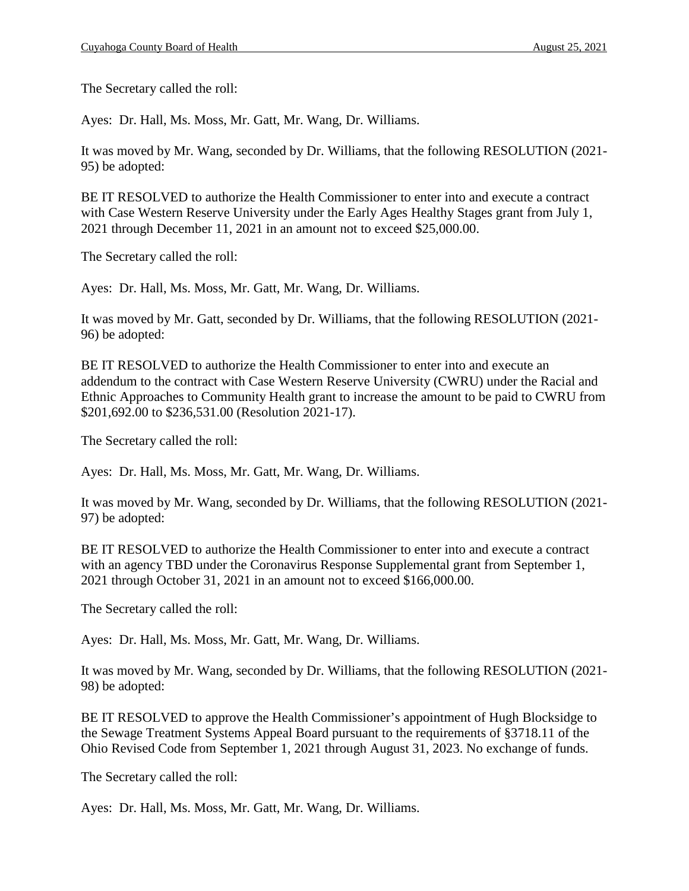The Secretary called the roll:

Ayes: Dr. Hall, Ms. Moss, Mr. Gatt, Mr. Wang, Dr. Williams.

It was moved by Mr. Wang, seconded by Dr. Williams, that the following RESOLUTION (2021- 95) be adopted:

BE IT RESOLVED to authorize the Health Commissioner to enter into and execute a contract with Case Western Reserve University under the Early Ages Healthy Stages grant from July 1, 2021 through December 11, 2021 in an amount not to exceed \$25,000.00.

The Secretary called the roll:

Ayes: Dr. Hall, Ms. Moss, Mr. Gatt, Mr. Wang, Dr. Williams.

It was moved by Mr. Gatt, seconded by Dr. Williams, that the following RESOLUTION (2021- 96) be adopted:

BE IT RESOLVED to authorize the Health Commissioner to enter into and execute an addendum to the contract with Case Western Reserve University (CWRU) under the Racial and Ethnic Approaches to Community Health grant to increase the amount to be paid to CWRU from \$201,692.00 to \$236,531.00 (Resolution 2021-17).

The Secretary called the roll:

Ayes: Dr. Hall, Ms. Moss, Mr. Gatt, Mr. Wang, Dr. Williams.

It was moved by Mr. Wang, seconded by Dr. Williams, that the following RESOLUTION (2021- 97) be adopted:

BE IT RESOLVED to authorize the Health Commissioner to enter into and execute a contract with an agency TBD under the Coronavirus Response Supplemental grant from September 1, 2021 through October 31, 2021 in an amount not to exceed \$166,000.00.

The Secretary called the roll:

Ayes: Dr. Hall, Ms. Moss, Mr. Gatt, Mr. Wang, Dr. Williams.

It was moved by Mr. Wang, seconded by Dr. Williams, that the following RESOLUTION (2021- 98) be adopted:

BE IT RESOLVED to approve the Health Commissioner's appointment of Hugh Blocksidge to the Sewage Treatment Systems Appeal Board pursuant to the requirements of §3718.11 of the Ohio Revised Code from September 1, 2021 through August 31, 2023. No exchange of funds.

The Secretary called the roll:

Ayes: Dr. Hall, Ms. Moss, Mr. Gatt, Mr. Wang, Dr. Williams.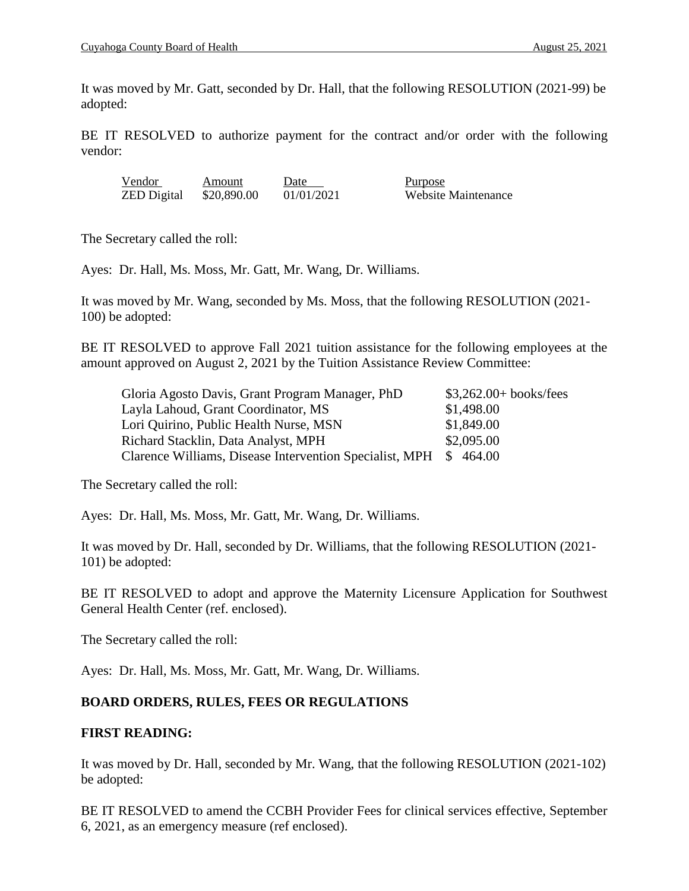It was moved by Mr. Gatt, seconded by Dr. Hall, that the following RESOLUTION (2021-99) be adopted:

BE IT RESOLVED to authorize payment for the contract and/or order with the following vendor:

| Vendor             | Amount      | Date       | Purpose             |
|--------------------|-------------|------------|---------------------|
| <b>ZED</b> Digital | \$20,890.00 | 01/01/2021 | Website Maintenance |

The Secretary called the roll:

Ayes: Dr. Hall, Ms. Moss, Mr. Gatt, Mr. Wang, Dr. Williams.

It was moved by Mr. Wang, seconded by Ms. Moss, that the following RESOLUTION (2021- 100) be adopted:

BE IT RESOLVED to approve Fall 2021 tuition assistance for the following employees at the amount approved on August 2, 2021 by the Tuition Assistance Review Committee:

| Gloria Agosto Davis, Grant Program Manager, PhD                  | $$3,262.00+books/fees$ |
|------------------------------------------------------------------|------------------------|
| Layla Lahoud, Grant Coordinator, MS                              | \$1,498.00             |
| Lori Quirino, Public Health Nurse, MSN                           | \$1,849.00             |
| Richard Stacklin, Data Analyst, MPH                              | \$2,095.00             |
| Clarence Williams, Disease Intervention Specialist, MPH \$464.00 |                        |

The Secretary called the roll:

Ayes: Dr. Hall, Ms. Moss, Mr. Gatt, Mr. Wang, Dr. Williams.

It was moved by Dr. Hall, seconded by Dr. Williams, that the following RESOLUTION (2021- 101) be adopted:

BE IT RESOLVED to adopt and approve the Maternity Licensure Application for Southwest General Health Center (ref. enclosed).

The Secretary called the roll:

Ayes: Dr. Hall, Ms. Moss, Mr. Gatt, Mr. Wang, Dr. Williams.

# **BOARD ORDERS, RULES, FEES OR REGULATIONS**

## **FIRST READING:**

It was moved by Dr. Hall, seconded by Mr. Wang, that the following RESOLUTION (2021-102) be adopted:

BE IT RESOLVED to amend the CCBH Provider Fees for clinical services effective, September 6, 2021, as an emergency measure (ref enclosed).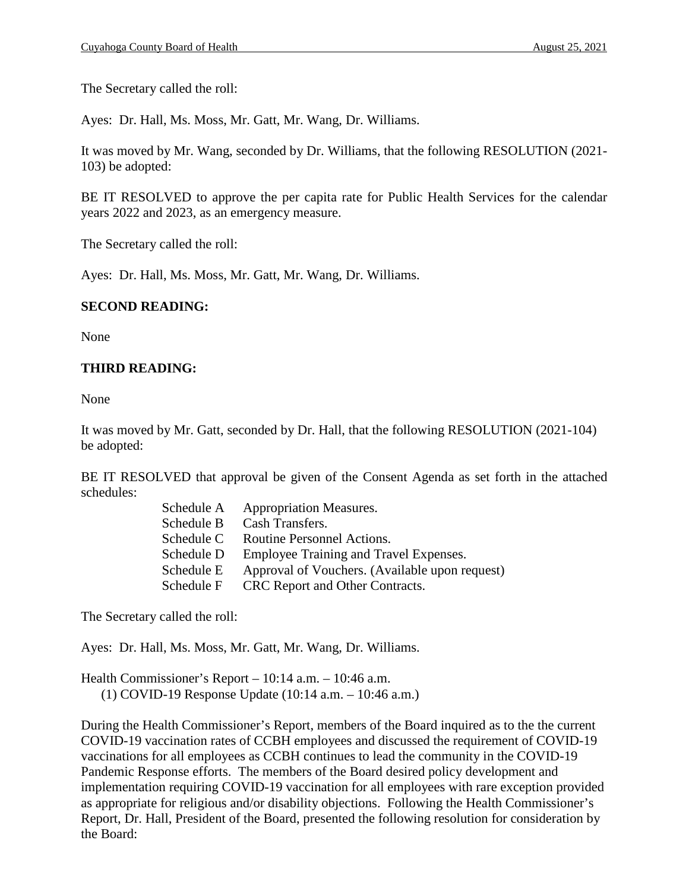The Secretary called the roll:

Ayes: Dr. Hall, Ms. Moss, Mr. Gatt, Mr. Wang, Dr. Williams.

It was moved by Mr. Wang, seconded by Dr. Williams, that the following RESOLUTION (2021- 103) be adopted:

BE IT RESOLVED to approve the per capita rate for Public Health Services for the calendar years 2022 and 2023, as an emergency measure.

The Secretary called the roll:

Ayes: Dr. Hall, Ms. Moss, Mr. Gatt, Mr. Wang, Dr. Williams.

## **SECOND READING:**

None

# **THIRD READING:**

None

It was moved by Mr. Gatt, seconded by Dr. Hall, that the following RESOLUTION (2021-104) be adopted:

BE IT RESOLVED that approval be given of the Consent Agenda as set forth in the attached schedules:

| Schedule A | <b>Appropriation Measures.</b>                 |
|------------|------------------------------------------------|
| Schedule B | Cash Transfers.                                |
| Schedule C | Routine Personnel Actions.                     |
| Schedule D | Employee Training and Travel Expenses.         |
| Schedule E | Approval of Vouchers. (Available upon request) |
| Schedule F | CRC Report and Other Contracts.                |

The Secretary called the roll:

Ayes: Dr. Hall, Ms. Moss, Mr. Gatt, Mr. Wang, Dr. Williams.

Health Commissioner's Report – 10:14 a.m. – 10:46 a.m. (1) COVID-19 Response Update (10:14 a.m. – 10:46 a.m.)

During the Health Commissioner's Report, members of the Board inquired as to the the current COVID-19 vaccination rates of CCBH employees and discussed the requirement of COVID-19 vaccinations for all employees as CCBH continues to lead the community in the COVID-19 Pandemic Response efforts. The members of the Board desired policy development and implementation requiring COVID-19 vaccination for all employees with rare exception provided as appropriate for religious and/or disability objections. Following the Health Commissioner's Report, Dr. Hall, President of the Board, presented the following resolution for consideration by the Board: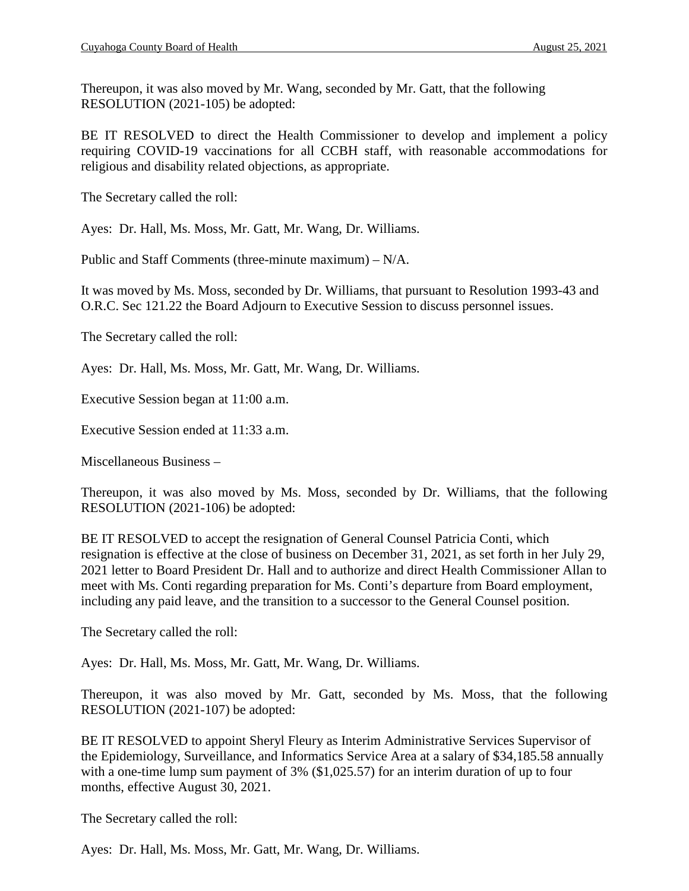Thereupon, it was also moved by Mr. Wang, seconded by Mr. Gatt, that the following RESOLUTION (2021-105) be adopted:

BE IT RESOLVED to direct the Health Commissioner to develop and implement a policy requiring COVID-19 vaccinations for all CCBH staff, with reasonable accommodations for religious and disability related objections, as appropriate.

The Secretary called the roll:

Ayes: Dr. Hall, Ms. Moss, Mr. Gatt, Mr. Wang, Dr. Williams.

Public and Staff Comments (three-minute maximum) – N/A.

It was moved by Ms. Moss, seconded by Dr. Williams, that pursuant to Resolution 1993-43 and O.R.C. Sec 121.22 the Board Adjourn to Executive Session to discuss personnel issues.

The Secretary called the roll:

Ayes: Dr. Hall, Ms. Moss, Mr. Gatt, Mr. Wang, Dr. Williams.

Executive Session began at 11:00 a.m.

Executive Session ended at 11:33 a.m.

Miscellaneous Business –

Thereupon, it was also moved by Ms. Moss, seconded by Dr. Williams, that the following RESOLUTION (2021-106) be adopted:

BE IT RESOLVED to accept the resignation of General Counsel Patricia Conti, which resignation is effective at the close of business on December 31, 2021, as set forth in her July 29, 2021 letter to Board President Dr. Hall and to authorize and direct Health Commissioner Allan to meet with Ms. Conti regarding preparation for Ms. Conti's departure from Board employment, including any paid leave, and the transition to a successor to the General Counsel position.

The Secretary called the roll:

Ayes: Dr. Hall, Ms. Moss, Mr. Gatt, Mr. Wang, Dr. Williams.

Thereupon, it was also moved by Mr. Gatt, seconded by Ms. Moss, that the following RESOLUTION (2021-107) be adopted:

BE IT RESOLVED to appoint Sheryl Fleury as Interim Administrative Services Supervisor of the Epidemiology, Surveillance, and Informatics Service Area at a salary of \$34,185.58 annually with a one-time lump sum payment of 3% (\$1,025.57) for an interim duration of up to four months, effective August 30, 2021.

The Secretary called the roll:

Ayes: Dr. Hall, Ms. Moss, Mr. Gatt, Mr. Wang, Dr. Williams.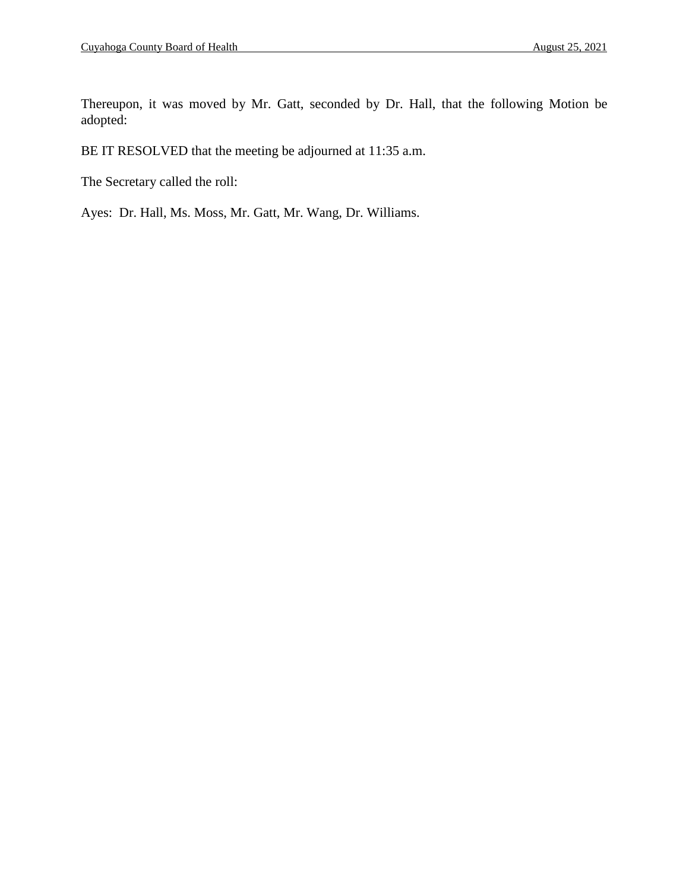Thereupon, it was moved by Mr. Gatt, seconded by Dr. Hall, that the following Motion be adopted:

BE IT RESOLVED that the meeting be adjourned at 11:35 a.m.

The Secretary called the roll:

Ayes: Dr. Hall, Ms. Moss, Mr. Gatt, Mr. Wang, Dr. Williams.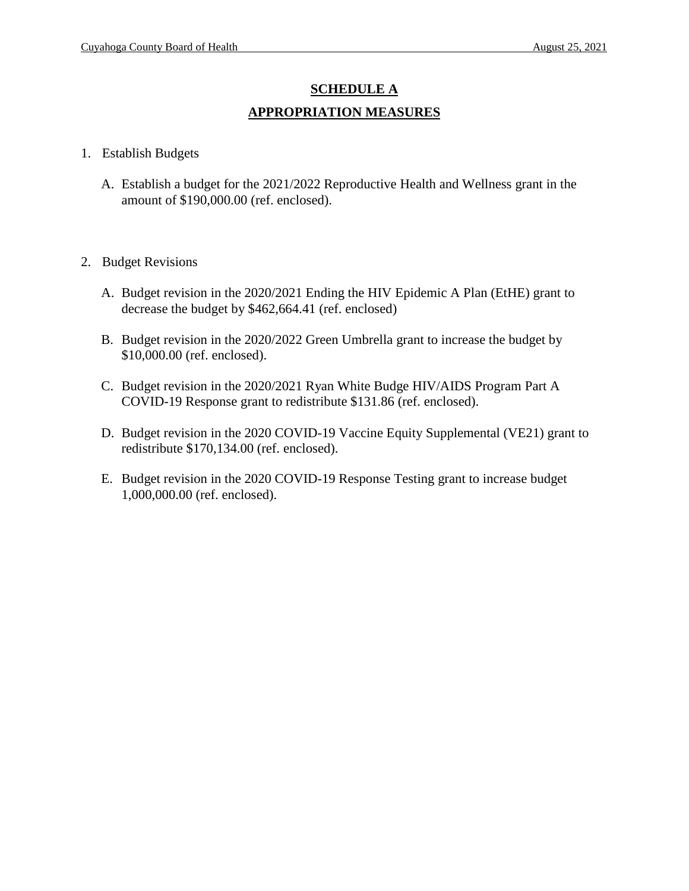# **SCHEDULE A APPROPRIATION MEASURES**

- 1. Establish Budgets
	- A. Establish a budget for the 2021/2022 Reproductive Health and Wellness grant in the amount of \$190,000.00 (ref. enclosed).
- 2. Budget Revisions
	- A. Budget revision in the 2020/2021 Ending the HIV Epidemic A Plan (EtHE) grant to decrease the budget by \$462,664.41 (ref. enclosed)
	- B. Budget revision in the 2020/2022 Green Umbrella grant to increase the budget by \$10,000.00 (ref. enclosed).
	- C. Budget revision in the 2020/2021 Ryan White Budge HIV/AIDS Program Part A COVID-19 Response grant to redistribute \$131.86 (ref. enclosed).
	- D. Budget revision in the 2020 COVID-19 Vaccine Equity Supplemental (VE21) grant to redistribute \$170,134.00 (ref. enclosed).
	- E. Budget revision in the 2020 COVID-19 Response Testing grant to increase budget 1,000,000.00 (ref. enclosed).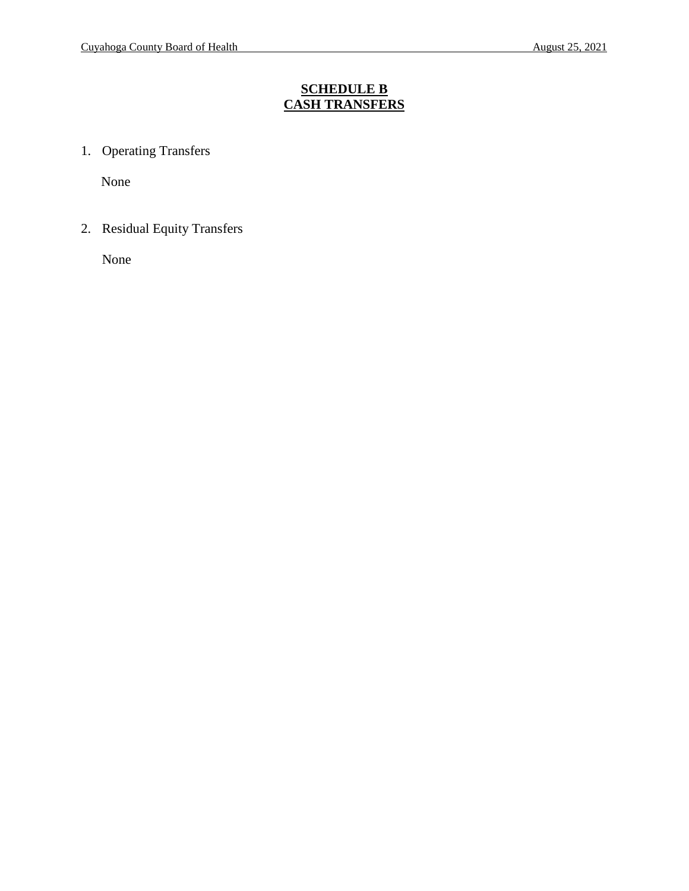# **SCHEDULE B CASH TRANSFERS**

1. Operating Transfers

None

2. Residual Equity Transfers

None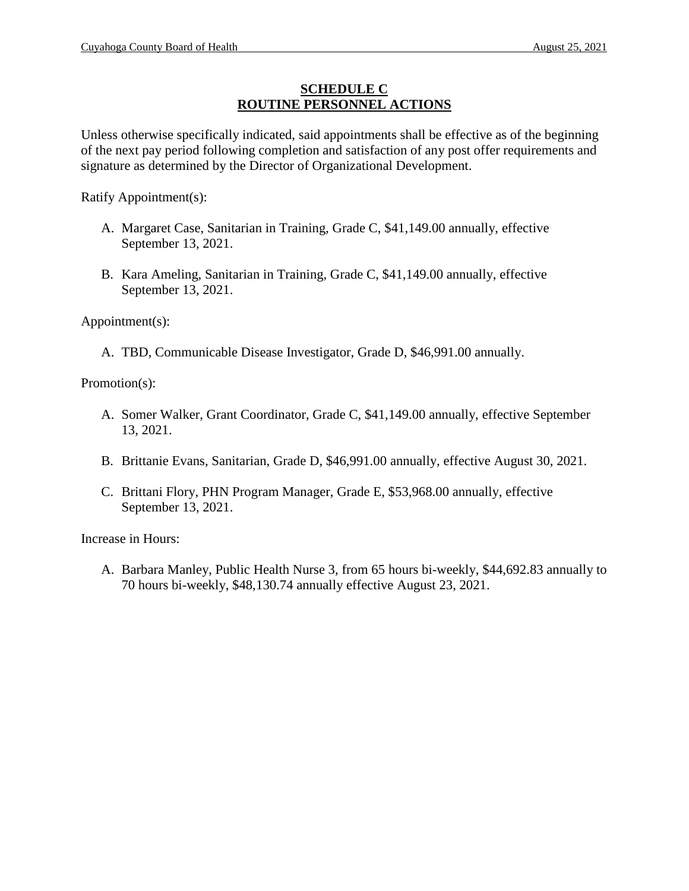### **SCHEDULE C ROUTINE PERSONNEL ACTIONS**

Unless otherwise specifically indicated, said appointments shall be effective as of the beginning of the next pay period following completion and satisfaction of any post offer requirements and signature as determined by the Director of Organizational Development.

Ratify Appointment(s):

- A. Margaret Case, Sanitarian in Training, Grade C, \$41,149.00 annually, effective September 13, 2021.
- B. Kara Ameling, Sanitarian in Training, Grade C, \$41,149.00 annually, effective September 13, 2021.

Appointment(s):

A. TBD, Communicable Disease Investigator, Grade D, \$46,991.00 annually.

Promotion(s):

- A. Somer Walker, Grant Coordinator, Grade C, \$41,149.00 annually, effective September 13, 2021.
- B. Brittanie Evans, Sanitarian, Grade D, \$46,991.00 annually, effective August 30, 2021.
- C. Brittani Flory, PHN Program Manager, Grade E, \$53,968.00 annually, effective September 13, 2021.

Increase in Hours:

A. Barbara Manley, Public Health Nurse 3, from 65 hours bi-weekly, \$44,692.83 annually to 70 hours bi-weekly, \$48,130.74 annually effective August 23, 2021.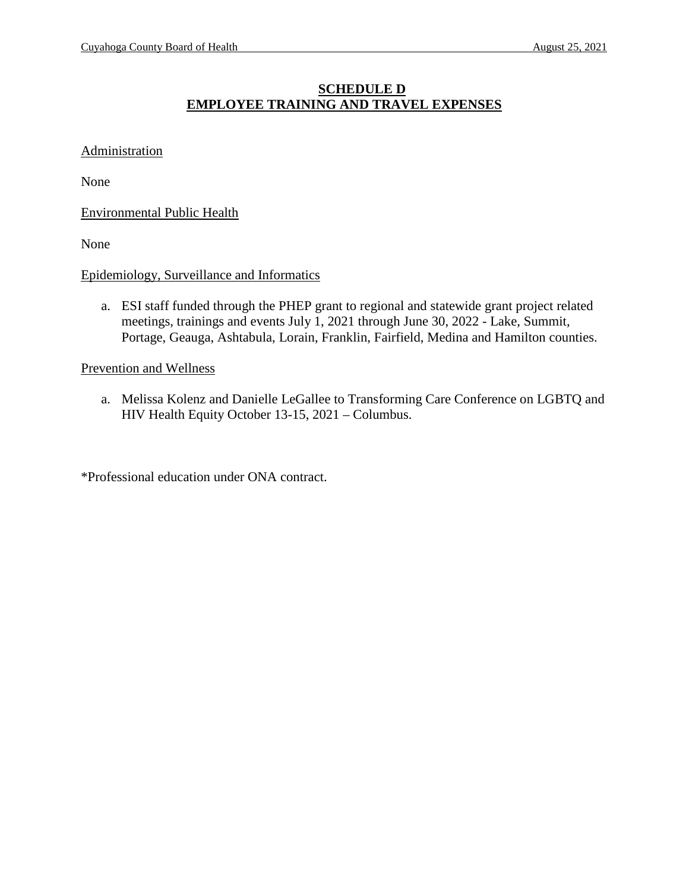## **SCHEDULE D EMPLOYEE TRAINING AND TRAVEL EXPENSES**

#### **Administration**

None

Environmental Public Health

None

#### Epidemiology, Surveillance and Informatics

a. ESI staff funded through the PHEP grant to regional and statewide grant project related meetings, trainings and events July 1, 2021 through June 30, 2022 - Lake, Summit, Portage, Geauga, Ashtabula, Lorain, Franklin, Fairfield, Medina and Hamilton counties.

#### Prevention and Wellness

a. Melissa Kolenz and Danielle LeGallee to Transforming Care Conference on LGBTQ and HIV Health Equity October 13-15, 2021 – Columbus.

\*Professional education under ONA contract.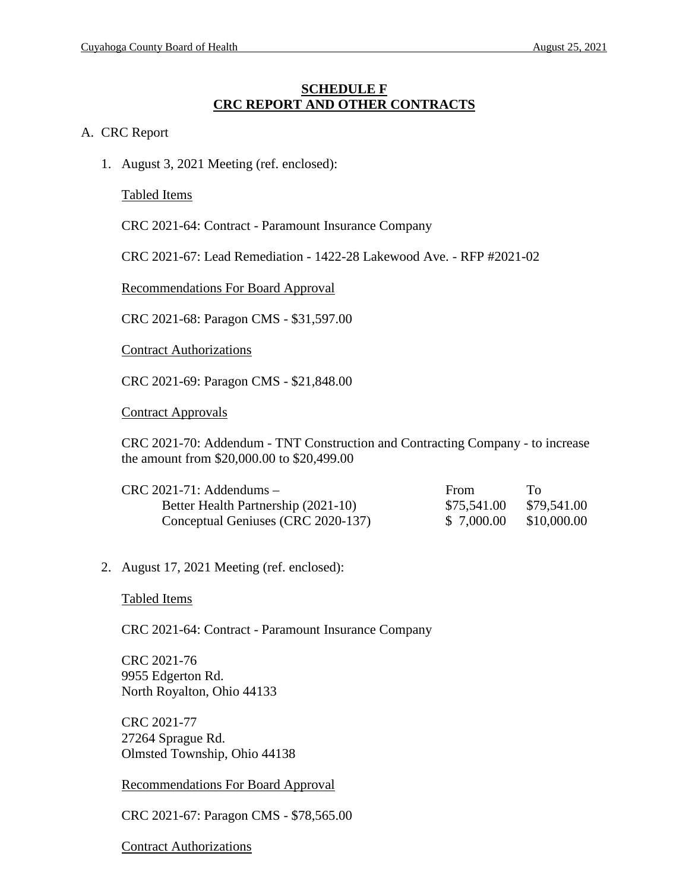#### **SCHEDULE F CRC REPORT AND OTHER CONTRACTS**

#### A. CRC Report

1. August 3, 2021 Meeting (ref. enclosed):

Tabled Items

CRC 2021-64: Contract - Paramount Insurance Company

CRC 2021-67: Lead Remediation - 1422-28 Lakewood Ave. - RFP #2021-02

Recommendations For Board Approval

CRC 2021-68: Paragon CMS - \$31,597.00

Contract Authorizations

CRC 2021-69: Paragon CMS - \$21,848.00

Contract Approvals

CRC 2021-70: Addendum - TNT Construction and Contracting Company - to increase the amount from \$20,000.00 to \$20,499.00

| $CRC 2021-71$ : Addendums -         | <b>From</b> | To.         |
|-------------------------------------|-------------|-------------|
| Better Health Partnership (2021-10) | \$75,541.00 | \$79,541.00 |
| Conceptual Geniuses (CRC 2020-137)  | \$ 7,000.00 | \$10,000.00 |

2. August 17, 2021 Meeting (ref. enclosed):

Tabled Items

CRC 2021-64: Contract - Paramount Insurance Company

CRC 2021-76 9955 Edgerton Rd. North Royalton, Ohio 44133

CRC 2021-77 27264 Sprague Rd. Olmsted Township, Ohio 44138

Recommendations For Board Approval

CRC 2021-67: Paragon CMS - \$78,565.00

Contract Authorizations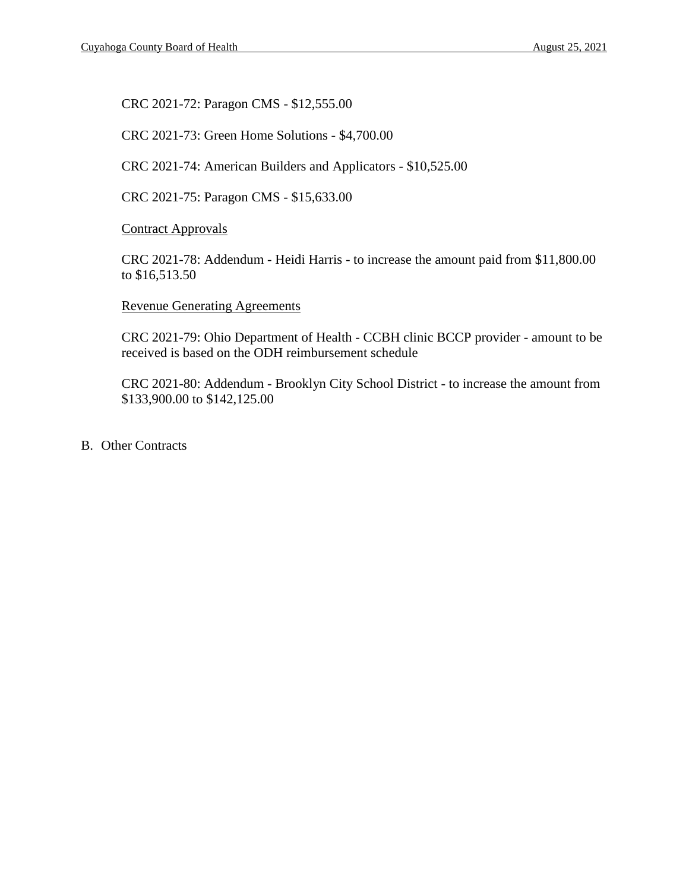CRC 2021-72: Paragon CMS - \$12,555.00

CRC 2021-73: Green Home Solutions - \$4,700.00

CRC 2021-74: American Builders and Applicators - \$10,525.00

CRC 2021-75: Paragon CMS - \$15,633.00

Contract Approvals

CRC 2021-78: Addendum - Heidi Harris - to increase the amount paid from \$11,800.00 to \$16,513.50

#### Revenue Generating Agreements

CRC 2021-79: Ohio Department of Health - CCBH clinic BCCP provider - amount to be received is based on the ODH reimbursement schedule

CRC 2021-80: Addendum - Brooklyn City School District - to increase the amount from \$133,900.00 to \$142,125.00

B. Other Contracts